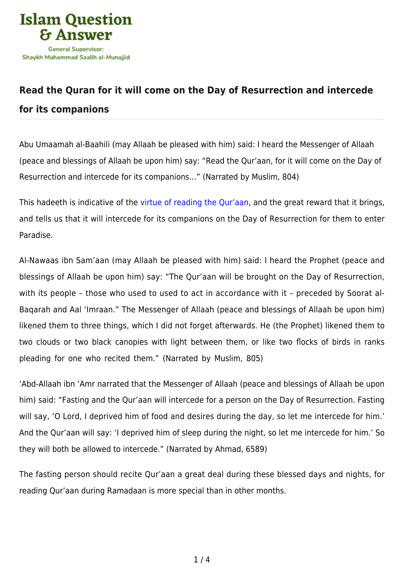

## **[Read the Quran for it will come on the Day of Resurrection and intercede](https://islamqa.info/en/articles/42/read-the-quran-for-it-will-come-on-the-day-of-resurrection-and-intercede-for-its-companions) [for its companions](https://islamqa.info/en/articles/42/read-the-quran-for-it-will-come-on-the-day-of-resurrection-and-intercede-for-its-companions)**

Abu Umaamah al-Baahili (may Allaah be pleased with him) said: I heard the Messenger of Allaah (peace and blessings of Allaah be upon him) say: "Read the Qur'aan, for it will come on the Day of Resurrection and intercede for its companions…" (Narrated by Muslim, 804)

This hadeeth is indicative of th[e virtue of reading the Qur'aan](https://islamqa.info/en/answers/230021), and the great reward that it brings, and tells us that it will intercede for its companions on the Day of Resurrection for them to enter Paradise.

Al-Nawaas ibn Sam'aan (may Allaah be pleased with him) said: I heard the Prophet (peace and blessings of Allaah be upon him) say: "The Qur'aan will be brought on the Day of Resurrection, with its people - those who used to used to act in accordance with it - preceded by Soorat al-Baqarah and Aal 'Imraan." The Messenger of Allaah (peace and blessings of Allaah be upon him) likened them to three things, which I did not forget afterwards. He (the Prophet) likened them to two clouds or two black canopies with light between them, or like two flocks of birds in ranks pleading for one who recited them." (Narrated by Muslim, 805)

'Abd-Allaah ibn 'Amr narrated that the Messenger of Allaah (peace and blessings of Allaah be upon him) said: "Fasting and the Qur'aan will intercede for a person on the Day of Resurrection. Fasting will say, 'O Lord, I deprived him of food and desires during the day, so let me intercede for him.' And the Qur'aan will say: 'I deprived him of sleep during the night, so let me intercede for him.' So they will both be allowed to intercede." (Narrated by Ahmad, 6589)

The fasting person should recite Qur'aan a great deal during these blessed days and nights, for reading Qur'aan during Ramadaan is more special than in other months.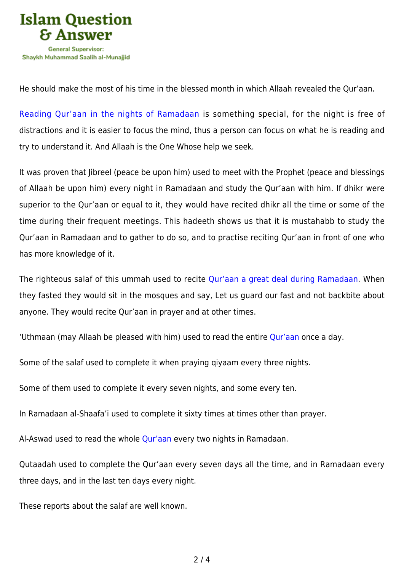

He should make the most of his time in the blessed month in which Allaah revealed the Qur'aan.

[Reading Qur'aan in the nights of Ramadaan](https://islamqa.info/en/answers/26327) is something special, for the night is free of distractions and it is easier to focus the mind, thus a person can focus on what he is reading and try to understand it. And Allaah is the One Whose help we seek.

It was proven that Jibreel (peace be upon him) used to meet with the Prophet (peace and blessings of Allaah be upon him) every night in Ramadaan and study the Qur'aan with him. If dhikr were superior to the Qur'aan or equal to it, they would have recited dhikr all the time or some of the time during their frequent meetings. This hadeeth shows us that it is mustahabb to study the Qur'aan in Ramadaan and to gather to do so, and to practise reciting Qur'aan in front of one who has more knowledge of it.

The righteous salaf of this ummah used to recite [Qur'aan a great deal during Ramadaan.](https://islamqa.info/en/answers/156299) When they fasted they would sit in the mosques and say, Let us guard our fast and not backbite about anyone. They would recite Qur'aan in prayer and at other times.

'Uthmaan (may Allaah be pleased with him) used to read the entire [Qur'aan](https://islamqa.info/en/answers/2110) once a day.

Some of the salaf used to complete it when praying qiyaam every three nights.

Some of them used to complete it every seven nights, and some every ten.

In Ramadaan al-Shaafa'i used to complete it sixty times at times other than prayer.

Al-Aswad used to read the whole [Qur'aan](https://islamqa.info/en/answers/124657) every two nights in Ramadaan.

Qutaadah used to complete the Qur'aan every seven days all the time, and in Ramadaan every three days, and in the last ten days every night.

These reports about the salaf are well known.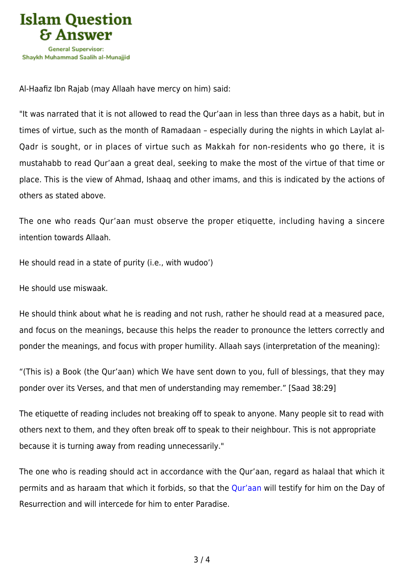

Al-Haafiz Ibn Rajab (may Allaah have mercy on him) said:

"It was narrated that it is not allowed to read the Qur'aan in less than three days as a habit, but in times of virtue, such as the month of Ramadaan – especially during the nights in which Laylat al-Qadr is sought, or in places of virtue such as Makkah for non-residents who go there, it is mustahabb to read Qur'aan a great deal, seeking to make the most of the virtue of that time or place. This is the view of Ahmad, Ishaaq and other imams, and this is indicated by the actions of others as stated above.

The one who reads Qur'aan must observe the proper etiquette, including having a sincere intention towards Allaah.

He should read in a state of purity (i.e., with wudoo')

He should use miswaak.

He should think about what he is reading and not rush, rather he should read at a measured pace, and focus on the meanings, because this helps the reader to pronounce the letters correctly and ponder the meanings, and focus with proper humility. Allaah says (interpretation of the meaning):

"(This is) a Book (the Qur'aan) which We have sent down to you, full of blessings, that they may ponder over its Verses, and that men of understanding may remember." [Saad 38:29]

The etiquette of reading includes not breaking off to speak to anyone. Many people sit to read with others next to them, and they often break off to speak to their neighbour. This is not appropriate because it is turning away from reading unnecessarily."

The one who is reading should act in accordance with the Qur'aan, regard as halaal that which it permits and as haraam that which it forbids, so that the [Qur'aan](https://islamqa.info/en/answers/2564) will testify for him on the Day of Resurrection and will intercede for him to enter Paradise.